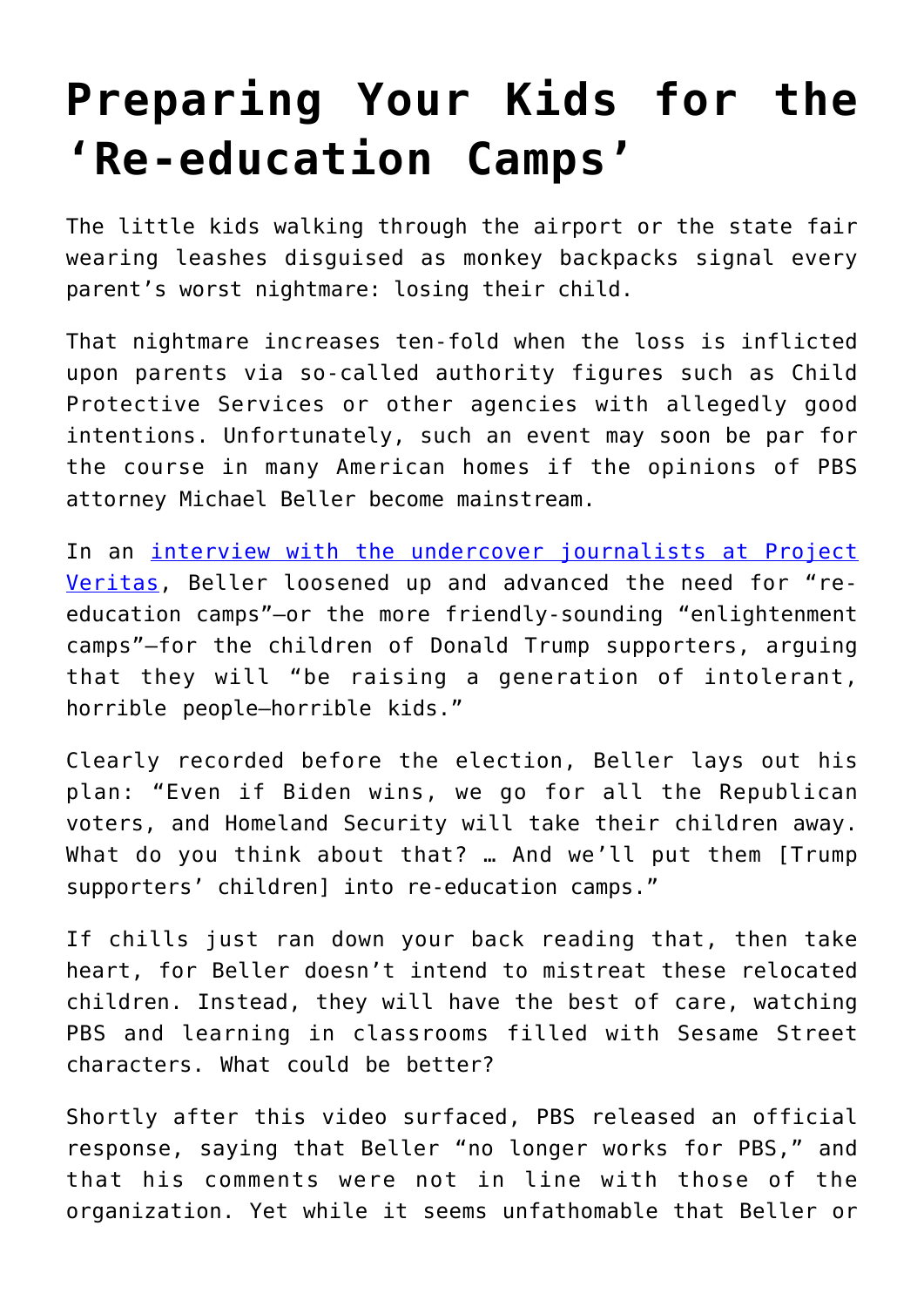## **[Preparing Your Kids for the](https://intellectualtakeout.org/2021/01/preparing-your-kids-for-the-re-education-camps/) ['Re-education Camps'](https://intellectualtakeout.org/2021/01/preparing-your-kids-for-the-re-education-camps/)**

The little kids walking through the airport or the state fair wearing leashes disguised as monkey backpacks signal every parent's worst nightmare: losing their child.

That nightmare increases ten-fold when the loss is inflicted upon parents via so-called authority figures such as Child Protective Services or other agencies with allegedly good intentions. Unfortunately, such an event may soon be par for the course in many American homes if the opinions of PBS attorney Michael Beller become mainstream.

In an [interview with the undercover journalists at Project](https://twitter.com/Project_Veritas/status/1349109869727674369) [Veritas,](https://twitter.com/Project_Veritas/status/1349109869727674369) Beller loosened up and advanced the need for "reeducation camps"—or the more friendly-sounding "enlightenment camps"—for the children of Donald Trump supporters, arguing that they will "be raising a generation of intolerant, horrible people—horrible kids."

Clearly recorded before the election, Beller lays out his plan: "Even if Biden wins, we go for all the Republican voters, and Homeland Security will take their children away. What do you think about that? … And we'll put them [Trump supporters' children] into re-education camps."

If chills just ran down your back reading that, then take heart, for Beller doesn't intend to mistreat these relocated children. Instead, they will have the best of care, watching PBS and learning in classrooms filled with Sesame Street characters. What could be better?

Shortly after this video surfaced, PBS released an official response, saying that Beller "no longer works for PBS," and that his comments were not in line with those of the organization. Yet while it seems unfathomable that Beller or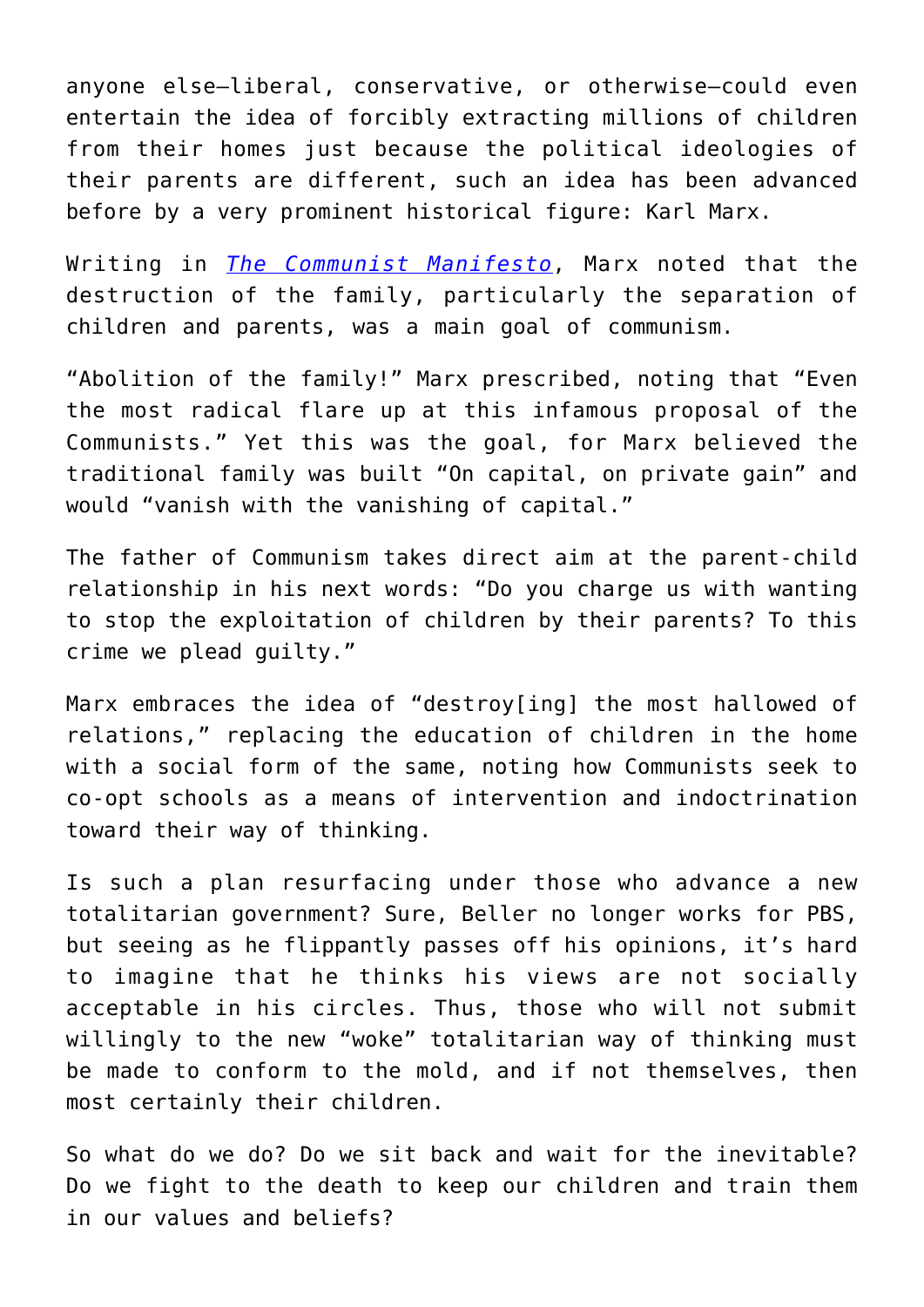anyone else—liberal, conservative, or otherwise—could even entertain the idea of forcibly extracting millions of children from their homes just because the political ideologies of their parents are different, such an idea has been advanced before by a very prominent historical figure: Karl Marx.

Writing in *[The Communist Manifesto](https://www.marxists.org/admin/books/manifesto/Manifesto.pdf)*, Marx noted that the destruction of the family, particularly the separation of children and parents, was a main goal of communism.

"Abolition of the family!" Marx prescribed, noting that "Even the most radical flare up at this infamous proposal of the Communists." Yet this was the goal, for Marx believed the traditional family was built "On capital, on private gain" and would "vanish with the vanishing of capital."

The father of Communism takes direct aim at the parent-child relationship in his next words: "Do you charge us with wanting to stop the exploitation of children by their parents? To this crime we plead guilty."

Marx embraces the idea of "destroy[ing] the most hallowed of relations," replacing the education of children in the home with a social form of the same, noting how Communists seek to co-opt schools as a means of intervention and indoctrination toward their way of thinking.

Is such a plan resurfacing under those who advance a new totalitarian government? Sure, Beller no longer works for PBS, but seeing as he flippantly passes off his opinions, it's hard to imagine that he thinks his views are not socially acceptable in his circles. Thus, those who will not submit willingly to the new "woke" totalitarian way of thinking must be made to conform to the mold, and if not themselves, then most certainly their children.

So what do we do? Do we sit back and wait for the inevitable? Do we fight to the death to keep our children and train them in our values and beliefs?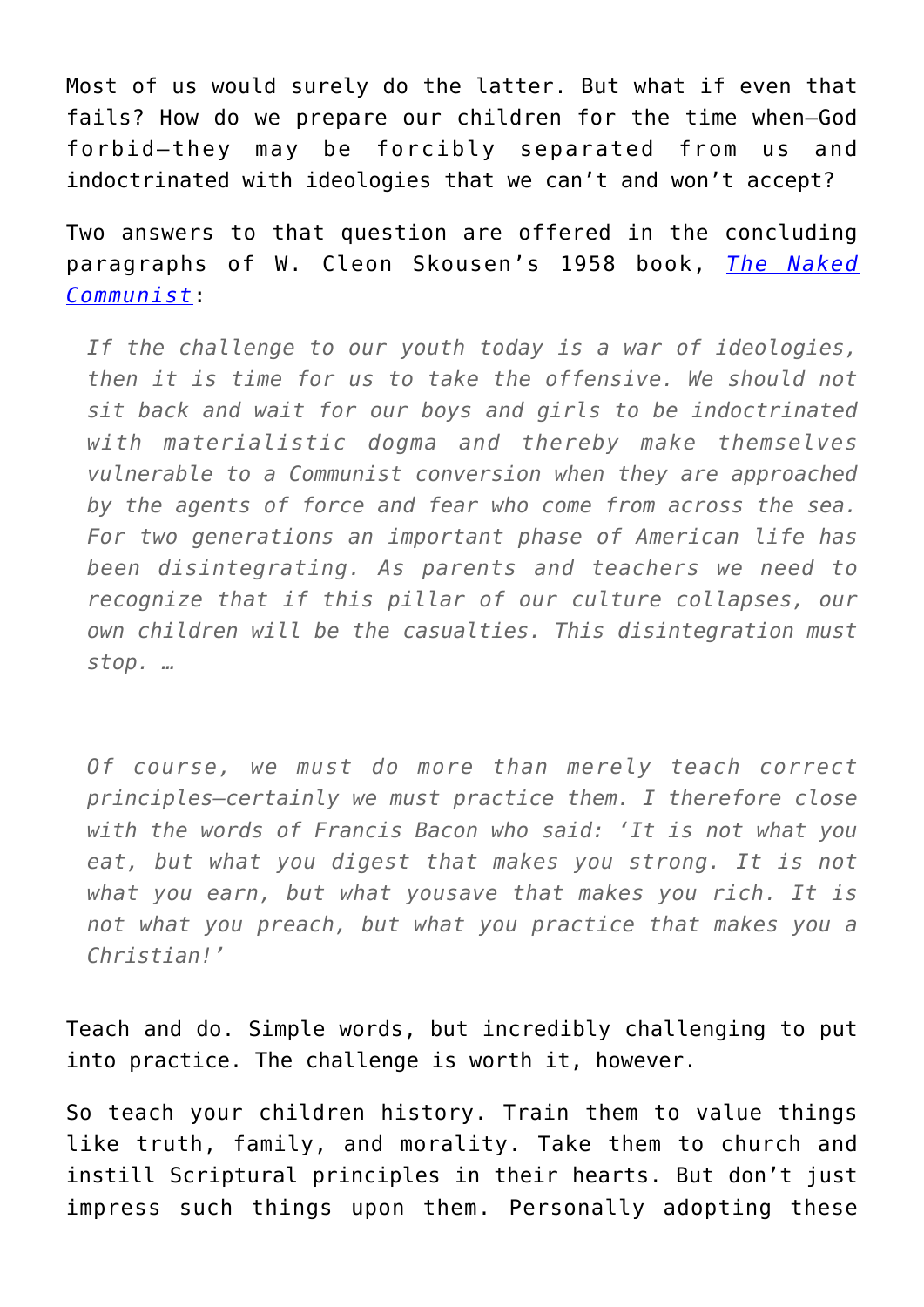Most of us would surely do the latter. But what if even that fails? How do we prepare our children for the time when—God forbid—they may be forcibly separated from us and indoctrinated with ideologies that we can't and won't accept?

Two answers to that question are offered in the concluding paragraphs of W. Cleon Skousen's 1958 book, *[The Naked](https://www.amazon.com/gp/product/1630720615/ref=as_li_qf_asin_il_tl?ie=UTF8&tag=intelltakeo0d-20&creative=9325&linkCode=as2&creativeASIN=1630720615&linkId=27ddc4bd6539cf6a0f59064383a89bec) [Communist](https://www.amazon.com/gp/product/1630720615/ref=as_li_qf_asin_il_tl?ie=UTF8&tag=intelltakeo0d-20&creative=9325&linkCode=as2&creativeASIN=1630720615&linkId=27ddc4bd6539cf6a0f59064383a89bec)*:

*If the challenge to our youth today is a war of ideologies, then it is time for us to take the offensive. We should not sit back and wait for our boys and girls to be indoctrinated with materialistic dogma and thereby make themselves vulnerable to a Communist conversion when they are approached by the agents of force and fear who come from across the sea. For two generations an important phase of American life has been disintegrating. As parents and teachers we need to recognize that if this pillar of our culture collapses, our own children will be the casualties. This disintegration must stop. …*

*Of course, we must do more than merely teach correct principles—certainly we must practice them. I therefore close with the words of Francis Bacon who said: 'It is not what you eat, but what you digest that makes you strong. It is not what you earn, but what yousave that makes you rich. It is not what you preach, but what you practice that makes you a Christian!'* 

Teach and do. Simple words, but incredibly challenging to put into practice. The challenge is worth it, however.

So teach your children history. Train them to value things like truth, family, and morality. Take them to church and instill Scriptural principles in their hearts. But don't just impress such things upon them. Personally adopting these